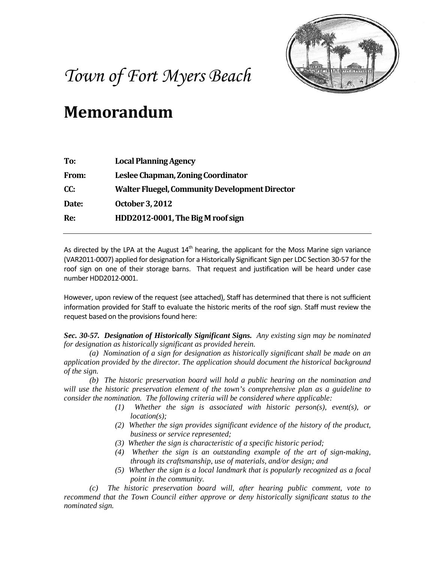

## *Town of Fort Myers Beach*

## **Memorandum**

| To:          | <b>Local Planning Agency</b>                          |
|--------------|-------------------------------------------------------|
| <b>From:</b> | Leslee Chapman, Zoning Coordinator                    |
| CC:          | <b>Walter Fluegel, Community Development Director</b> |
| Date:        | October 3, 2012                                       |
| Re:          | HDD2012-0001, The Big M roof sign                     |
|              |                                                       |

As directed by the LPA at the August  $14<sup>th</sup>$  hearing, the applicant for the Moss Marine sign variance (VAR2011-0007) applied for designation for a Historically Significant Sign per LDC Section 30-57 for the roof sign on one of their storage barns. That request and justification will be heard under case number HDD2012-0001.

However, upon review of the request (see attached), Staff has determined that there is not sufficient information provided for Staff to evaluate the historic merits of the roof sign. Staff must review the request based on the provisions found here:

*Sec. 30-57. Designation of Historically Significant Signs. Any existing sign may be nominated for designation as historically significant as provided herein.*

*(a) Nomination of a sign for designation as historically significant shall be made on an application provided by the director. The application should document the historical background of the sign.*

*(b) The historic preservation board will hold a public hearing on the nomination and will use the historic preservation element of the town's comprehensive plan as a guideline to consider the nomination. The following criteria will be considered where applicable:*

- *(1) Whether the sign is associated with historic person(s), event(s), or location(s);*
- *(2) Whether the sign provides significant evidence of the history of the product, business or service represented;*
- *(3) Whether the sign is characteristic of a specific historic period;*
- *(4) Whether the sign is an outstanding example of the art of sign-making, through its craftsmanship, use of materials, and/or design; and*
- *(5) Whether the sign is a local landmark that is popularly recognized as a focal point in the community.*

*(c) The historic preservation board will, after hearing public comment, vote to recommend that the Town Council either approve or deny historically significant status to the nominated sign.*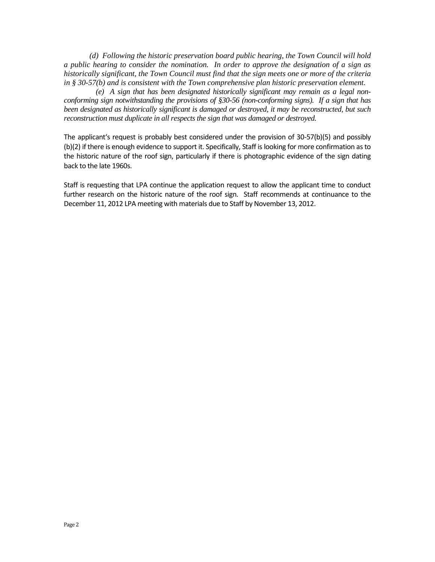*(d) Following the historic preservation board public hearing, the Town Council will hold a public hearing to consider the nomination. In order to approve the designation of a sign as historically significant, the Town Council must find that the sign meets one or more of the criteria in § 30-57(b) and is consistent with the Town comprehensive plan historic preservation element.*

*(e) A sign that has been designated historically significant may remain as a legal nonconforming sign notwithstanding the provisions of §30-56 (non-conforming signs). If a sign that has been designated as historically significant is damaged or destroyed, it may be reconstructed, but such reconstruction must duplicate in all respects the sign that was damaged or destroyed.*

The applicant's request is probably best considered under the provision of 30-57(b)(5) and possibly (b)(2) if there is enough evidence to support it. Specifically, Staff is looking for more confirmation as to the historic nature of the roof sign, particularly if there is photographic evidence of the sign dating back to the late 1960s.

Staff is requesting that LPA continue the application request to allow the applicant time to conduct further research on the historic nature of the roof sign. Staff recommends at continuance to the December 11, 2012 LPA meeting with materials due to Staff by November 13, 2012.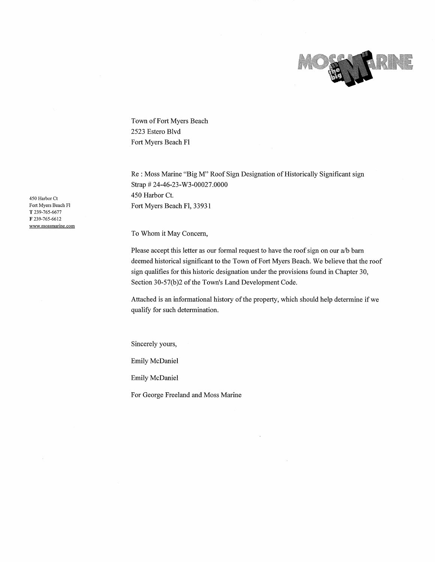

Town of Fort Myers Beach 2523 Estero Blvd Fort Myers Beach Fl

Re: Moss Marine "Big M" Roof Sign Designation of Historically Significant sign Strap #24-46-23-W3-00027.0000 450 Harbor Ct. Fort Myers Beach Fl, 33931

To Whom it May Concern,

Please accept this letter as our formal request to have the roof sign on our a/b barn deemed historical significant to the Town of Fort Myers Beach. We believe that the roof sign qualifies for this historic designation under the provisions found in Chapter 30, Section 30-57(b)2 of the Town's Land Development Code.

Attached is an informational history of the property, which should help determine if we qualify for such determination.

Sincerely yours,

Emily McDaniel

Emily McDaniel

For George Freeland and Moss Marine

450 Harbor Ct Fort Myers Beach Fl T 239-765-6677 F 239-765-6612 www.mossmarine.com